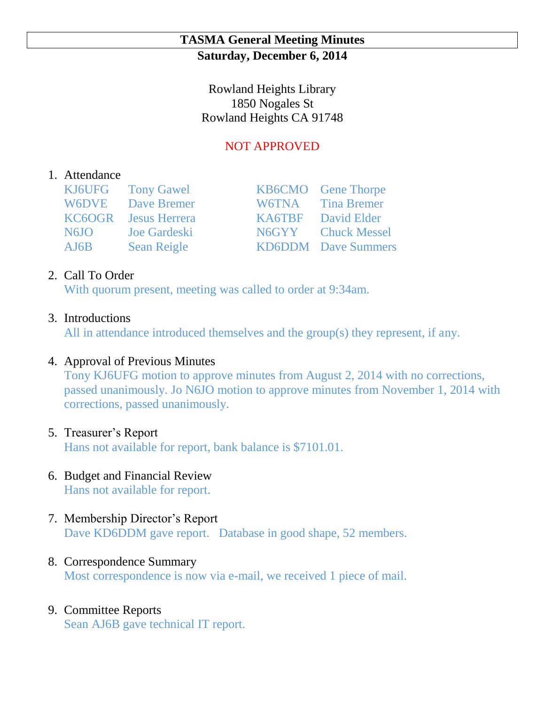### **TASMA General Meeting Minutes Saturday, December 6, 2014**

Rowland Heights Library 1850 Nogales St Rowland Heights CA 91748

# NOT APPROVED

### 1. Attendance

|                   | KJ6UFG Tony Gawel           | <b>KB6CMO</b> Gene Thorpe  |
|-------------------|-----------------------------|----------------------------|
|                   | <b>W6DVE</b> Dave Bremer    | W6TNA Tina Bremer          |
|                   | <b>KC6OGR</b> Jesus Herrera | <b>KA6TBF</b> David Elder  |
| N <sub>6</sub> JO | Joe Gardeski                | N6GYY Chuck Messel         |
| AJ6B              | <b>Sean Reigle</b>          | <b>KD6DDM</b> Dave Summers |

## 2. Call To Order

With quorum present, meeting was called to order at 9:34am.

#### 3. Introductions

All in attendance introduced themselves and the group(s) they represent, if any.

## 4. Approval of Previous Minutes

Tony KJ6UFG motion to approve minutes from August 2, 2014 with no corrections, passed unanimously. Jo N6JO motion to approve minutes from November 1, 2014 with corrections, passed unanimously.

#### 5. Treasurer's Report

Hans not available for report, bank balance is \$7101.01.

- 6. Budget and Financial Review Hans not available for report.
- 7. Membership Director's Report Dave KD6DDM gave report. Database in good shape, 52 members.

## 8. Correspondence Summary

Most correspondence is now via e-mail, we received 1 piece of mail.

# 9. Committee Reports

Sean AJ6B gave technical IT report.